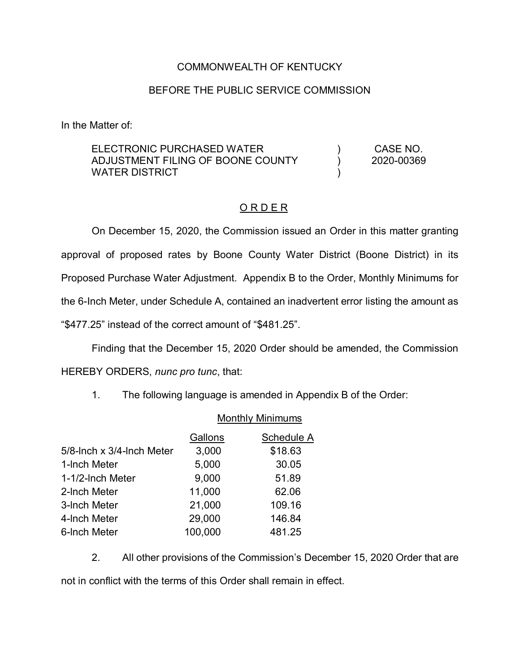# COMMONWEALTH OF KENTUCKY

### BEFORE THE PUBLIC SERVICE COMMISSION

In the Matter of:

#### ELECTRONIC PURCHASED WATER ADJUSTMENT FILING OF BOONE COUNTY WATER DISTRICT )  $\lambda$ ) CASE NO. 2020-00369

## O R D E R

On December 15, 2020, the Commission issued an Order in this matter granting approval of proposed rates by Boone County Water District (Boone District) in its Proposed Purchase Water Adjustment. Appendix B to the Order, Monthly Minimums for the 6-Inch Meter, under Schedule A, contained an inadvertent error listing the amount as "\$477.25" instead of the correct amount of "\$481.25".

Finding that the December 15, 2020 Order should be amended, the Commission HEREBY ORDERS, *nunc pro tunc*, that:

1. The following language is amended in Appendix B of the Order:

### Monthly Minimums

|                           | Gallons | Schedule A |
|---------------------------|---------|------------|
| 5/8-lnch x 3/4-lnch Meter | 3,000   | \$18.63    |
| 1-Inch Meter              | 5,000   | 30.05      |
| 1-1/2-Inch Meter          | 9,000   | 51.89      |
| 2-Inch Meter              | 11,000  | 62.06      |
| 3-Inch Meter              | 21,000  | 109.16     |
| 4-Inch Meter              | 29,000  | 146.84     |
| 6-Inch Meter              | 100,000 | 481.25     |

2. All other provisions of the Commission's December 15, 2020 Order that are not in conflict with the terms of this Order shall remain in effect.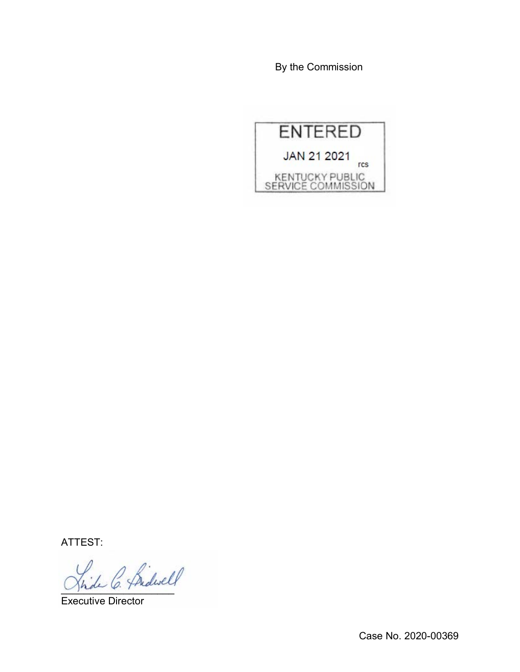By the Commission



ATTEST:

hide C. Pridwell

Executive Director

Case No. 2020-00369